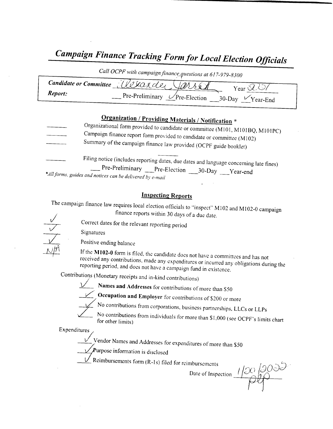# Campaign Finance Tracking Form for Local Election Officials

|         | Call OCPF with campaign finance questions at 617-979-8300                     |
|---------|-------------------------------------------------------------------------------|
|         | Candidate or Committee all Charder Jarres<br>Year $\mathcal{Q}$               |
| Report: | $\Gamma$ Pre-Preliminary $\mathcal{C}$ Pre-Election<br>$30$ -Day $V$ Year-End |

### Organization / Providing Materials / Notification \*

Organizational form provided to candidate or committee (M101, M101BQ, M101PC) Campaign finance report form provided to candidate or committee ( M102) Summary of the campaign finance law provided ( OCPF guide booklet)

Filing notice (includes reporting dates, due dates and language concerning late fines)<br>
Pre-Preliminary Pre-Election 30-Day Year-end \*All forms, guides and notices can be delivered by e-mail

#### Inspecting Reports

The campaign finance law requires local election officials to "inspect" M102 and M102-0 campaign finance reports within 30 days of <sup>a</sup> due date.

V  $/ \sqrt{11}$ 

Signatures

Positive ending balance

If the M102-0 form is filed, the candidate does not have a committees and has not received any contributions, made any expenditures or incurred any obligations during the reporting period, and does not have a campaign fund in existence.

Contributions (Monetary receipts and in-kind contributions)

Correct dates for the relevant reporting period



Names and Addresses for contributions of more than S50 Occupation and Employer for contributions of \$200 or more



No contributions from corporations, business partnerships, LLCs or LLPs

No contributions from individuals for more than \$1,000 (see OCPF's limits chart<br>for other limits)

Expenditures/

 $\sum$  Vendor Names and Addresses for expenditures of more than \$50

 $\mathcal{L}$ Purpose information is disclosed

 $\vee$  Reimbursements form (R-1s) filed for reimbursements

nbursements<br>Date of Inspection  $1/20/20$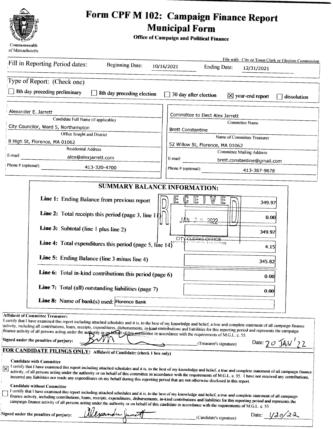

# Form CPF M 102: Campaign Finance Report Municipal Form

6

Office of Campaign and Political Finance

|                     | File with: City or Town Clerk or Election Commission<br>Fill in Reporting Period dates:<br><b>Beginning Date:</b><br>10/16/2021<br><b>Ending Date:</b><br>12/31/2021                                                                                                                                                                                                                                                                                                                                                                                                                                                                                                                                                                            |
|---------------------|-------------------------------------------------------------------------------------------------------------------------------------------------------------------------------------------------------------------------------------------------------------------------------------------------------------------------------------------------------------------------------------------------------------------------------------------------------------------------------------------------------------------------------------------------------------------------------------------------------------------------------------------------------------------------------------------------------------------------------------------------|
|                     | Type of Report: (Check one)                                                                                                                                                                                                                                                                                                                                                                                                                                                                                                                                                                                                                                                                                                                     |
|                     | 8th day preceding preliminary                                                                                                                                                                                                                                                                                                                                                                                                                                                                                                                                                                                                                                                                                                                   |
|                     | 8th day preceding election<br>$\Box$ 30 day after election<br>$[X]$ year-end report<br>dissolution                                                                                                                                                                                                                                                                                                                                                                                                                                                                                                                                                                                                                                              |
|                     | Alexander E. Jarrett<br>Committee to Elect Alex Jarrett                                                                                                                                                                                                                                                                                                                                                                                                                                                                                                                                                                                                                                                                                         |
|                     | Candidate Full Name (if applicable)<br>Committee Name                                                                                                                                                                                                                                                                                                                                                                                                                                                                                                                                                                                                                                                                                           |
|                     | City Councilor, Ward 5, Northampton<br><b>Brett Constantine</b>                                                                                                                                                                                                                                                                                                                                                                                                                                                                                                                                                                                                                                                                                 |
|                     | Office Sought and District<br>Name of Committee Treasurer<br>8 High St, Florence, MA 01062                                                                                                                                                                                                                                                                                                                                                                                                                                                                                                                                                                                                                                                      |
|                     | 52 Willow St, Florence, MA 01062<br><b>Residential Address</b>                                                                                                                                                                                                                                                                                                                                                                                                                                                                                                                                                                                                                                                                                  |
| E-mail:             | <b>Committee Mailing Address</b><br>alex@alexjarrett.com<br>E-mail:                                                                                                                                                                                                                                                                                                                                                                                                                                                                                                                                                                                                                                                                             |
| Phone # (optional): | brett.constantine@gmail.com<br>413-320-4700<br>Phone # (optional):                                                                                                                                                                                                                                                                                                                                                                                                                                                                                                                                                                                                                                                                              |
|                     | 413-387-9678                                                                                                                                                                                                                                                                                                                                                                                                                                                                                                                                                                                                                                                                                                                                    |
|                     | <b>SUMMARY BALANCE INFORMATION:</b>                                                                                                                                                                                                                                                                                                                                                                                                                                                                                                                                                                                                                                                                                                             |
|                     | E<br>C<br>Line 1: Ending Balance from previous report<br>E<br>巨<br>349.97                                                                                                                                                                                                                                                                                                                                                                                                                                                                                                                                                                                                                                                                       |
|                     | Line 2: Total receipts this period (page 3, line 11<br>0.00<br>-2 n<br><b>JAN</b><br>2022                                                                                                                                                                                                                                                                                                                                                                                                                                                                                                                                                                                                                                                       |
|                     | Line 3: Subtotal (line 1 plus line 2)<br>349.97<br>CITY CLERKS OFFICE                                                                                                                                                                                                                                                                                                                                                                                                                                                                                                                                                                                                                                                                           |
|                     | Line 4: Total expenditures this period (page 5, line 14)<br>TOM AIA GIGOO<br>4.15                                                                                                                                                                                                                                                                                                                                                                                                                                                                                                                                                                                                                                                               |
|                     | Line 5: Ending Balance (line 3 minus line 4)<br>345.82                                                                                                                                                                                                                                                                                                                                                                                                                                                                                                                                                                                                                                                                                          |
|                     | Line 6: Total in-kind contributions this period (page 6)<br>0.00                                                                                                                                                                                                                                                                                                                                                                                                                                                                                                                                                                                                                                                                                |
|                     | Line 7: Total (all) outstanding liabilities (page 7)<br>0.00                                                                                                                                                                                                                                                                                                                                                                                                                                                                                                                                                                                                                                                                                    |
|                     | Line 8: Name of bank(s) used: Florence Bank                                                                                                                                                                                                                                                                                                                                                                                                                                                                                                                                                                                                                                                                                                     |
|                     | Affidavit of Committee Treasurer:<br>I certify that I have examined this report including attached schedules and it is, to the best of my knowledge and belief, a true and complete statement of all campaign finance<br>activity, including all contributions, loans, receipts, expenditures, disbursements, in-kind contributions and liabilities for this reporting period and represents the campaign<br>finance activity of all persons acting under the authority or on being for this continuate in accordance with the requirements of M.G.L. c. 55.<br>Signed under the penalties of perjury:<br>Date: $20 \text{ JAV}$ 22<br>(Treasurer's signature)<br><b>FOR CANDIDATE FILINGS ONLY:</b> Affidavit of Candidate: (check 1 box only) |
|                     | <b>Candidate with Committee</b><br>I certify that I have examined this report including attached schedules and it is, to the best of my knowledge and belief, a true and complete statement of all campaign finance<br>activity, of all persons acting under the authority or on behalf of this committee in accordance with the requirements of M.G.L. c. 55. I have not received any contributions,<br>incurred any liabilities nor made any expenditures on my behalf during this reporting period that are not otherwise disclosed in this report.                                                                                                                                                                                          |
|                     | <b>Candidate without Committee</b><br>I certify that I have examined this report including attached schedules and it is, to the best of my knowledge and belief, a true and complete statement of all campaign<br>finance activity, including contributions, loans, receipts, expenditures, disbursements, in-kind contributions and liabilities for this reporting period and represents the<br>campaign finance activity of all persons acting under the authority or on behalf of this candidate in accordance with the requirements of M.G.L. c. 55.                                                                                                                                                                                        |
|                     | Clexander Junet<br>Signed under the penalties of perjury:<br>Date: $1/20/22$<br>(Candidate's signature)                                                                                                                                                                                                                                                                                                                                                                                                                                                                                                                                                                                                                                         |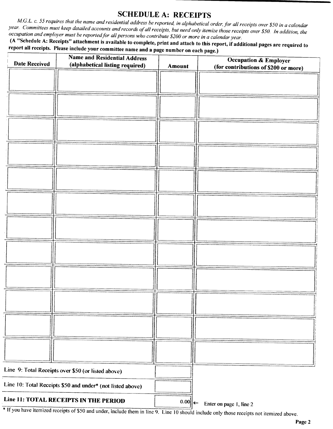#### SCHEDULE A: RECEIPTS

M.G.L. c. 55 requires that the name and residential address be reported, in alphabetical order, for all receipts over \$50 in a calendar year. Committees must keep detailed accounts and records of all receipts, but need only itemize those receipts over \$50. In addition, the occupation and employer must be reported for all persons who contribute \$200 or more in a calendar year.

A " Schedule A: Receipts" attachment is available to complete, print and attach to this report, if additional pages are required to report all receipts. Please include your committee name and a page number on each page.)

| <b>Date Received</b>                                       | <b>Name and Residential Address</b><br>(alphabetical listing required) | Amount | <b>Occupation &amp; Employer</b><br>(for contributions of \$200 or more) |
|------------------------------------------------------------|------------------------------------------------------------------------|--------|--------------------------------------------------------------------------|
|                                                            |                                                                        |        |                                                                          |
|                                                            |                                                                        |        |                                                                          |
|                                                            |                                                                        |        |                                                                          |
|                                                            |                                                                        |        |                                                                          |
|                                                            |                                                                        |        |                                                                          |
|                                                            |                                                                        |        |                                                                          |
|                                                            |                                                                        |        |                                                                          |
|                                                            |                                                                        |        |                                                                          |
|                                                            |                                                                        |        |                                                                          |
|                                                            |                                                                        |        |                                                                          |
|                                                            |                                                                        |        |                                                                          |
|                                                            |                                                                        |        |                                                                          |
| Line 9: Total Receipts over \$50 (or listed above)         |                                                                        |        |                                                                          |
| Line 10: Total Receipts \$50 and under* (not listed above) |                                                                        |        |                                                                          |
|                                                            | Line 11: TOTAL RECEIPTS IN THE PERIOD                                  | $0.00$ | Enter on page 1, line 2                                                  |

If you have itemized receipts of \$50 and under, include them in line 9. Line 10 should include only those receipts not itemized above.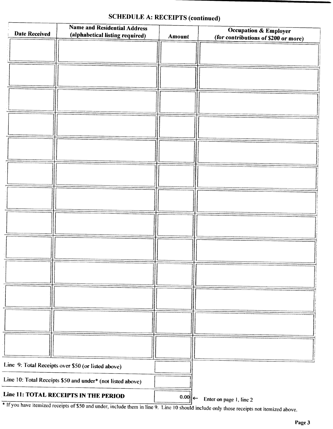| <b>Date Received</b>                                       | <b>Name and Residential Address</b><br>(alphabetical listing required) | <b>Amount</b> | Occupation & Employer<br>(for contributions of \$200 or more) |
|------------------------------------------------------------|------------------------------------------------------------------------|---------------|---------------------------------------------------------------|
|                                                            |                                                                        |               |                                                               |
|                                                            |                                                                        |               |                                                               |
|                                                            |                                                                        |               |                                                               |
|                                                            |                                                                        |               |                                                               |
|                                                            |                                                                        |               |                                                               |
|                                                            |                                                                        |               |                                                               |
|                                                            |                                                                        |               |                                                               |
|                                                            |                                                                        |               |                                                               |
|                                                            |                                                                        |               |                                                               |
|                                                            |                                                                        |               |                                                               |
|                                                            |                                                                        |               |                                                               |
|                                                            |                                                                        |               |                                                               |
|                                                            |                                                                        |               |                                                               |
|                                                            |                                                                        |               |                                                               |
| Line 9: Total Receipts over \$50 (or listed above)         |                                                                        |               |                                                               |
| Line 10: Total Receipts \$50 and under* (not listed above) |                                                                        |               |                                                               |
| <b>Line 11: TOTAL RECEIPTS IN THE PERIOD</b>               |                                                                        | $0.00$        | Enter on page 1, line 2                                       |

### SCHEDULE A: RECEIPTS (continued)

If you have hemized receipts of \$50 and under, include them in line 9. Line 10 should include only those receipts not itemized above.

 $\mathbf{L}$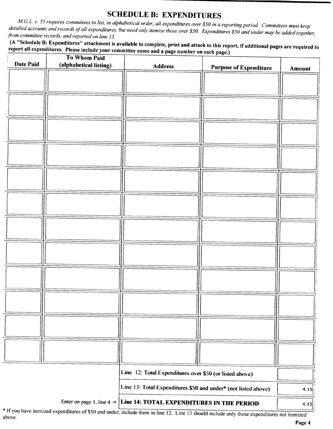SCHEDULE B: EXPENDITURES<br>M.G.L. c. 55 requires committees to list, in alphabetical order, all expenditures over \$50 in a reporting period. Committees must keep iled accounts and records of all expenditures, but need orbe it an expenditures over \$50 in a reporting period. Committees must keep details and records of an expenditures, but need only itemize those over \$50. Expenditures \$50 and under may be added together, from committee records, and reported on line 13.

A " Schedule B: Expenditures" attachment is available to complete, print and attach to this report, if additional pages are required to report all expenditures. Please include your committee name and a page number on each page.)

| <b>Date Paid</b> | <b>To Whom Paid</b><br>(alphabetical listing) | <b>Address</b>                                                                  |                               |        |
|------------------|-----------------------------------------------|---------------------------------------------------------------------------------|-------------------------------|--------|
|                  |                                               |                                                                                 | <b>Purpose of Expenditure</b> | Amount |
|                  |                                               |                                                                                 |                               |        |
|                  |                                               |                                                                                 |                               |        |
|                  |                                               |                                                                                 |                               |        |
|                  |                                               |                                                                                 |                               |        |
|                  |                                               |                                                                                 |                               |        |
|                  |                                               |                                                                                 |                               |        |
|                  |                                               |                                                                                 |                               |        |
|                  |                                               |                                                                                 |                               |        |
|                  |                                               |                                                                                 |                               |        |
|                  |                                               |                                                                                 |                               |        |
|                  |                                               |                                                                                 |                               |        |
|                  |                                               |                                                                                 |                               |        |
|                  |                                               |                                                                                 |                               |        |
|                  |                                               |                                                                                 |                               |        |
|                  |                                               |                                                                                 |                               |        |
|                  |                                               |                                                                                 |                               |        |
|                  |                                               |                                                                                 |                               |        |
|                  |                                               |                                                                                 |                               |        |
|                  |                                               |                                                                                 |                               |        |
|                  |                                               |                                                                                 |                               |        |
|                  |                                               |                                                                                 |                               |        |
|                  |                                               |                                                                                 |                               |        |
|                  |                                               |                                                                                 |                               |        |
|                  |                                               |                                                                                 |                               |        |
|                  |                                               |                                                                                 |                               |        |
|                  |                                               |                                                                                 |                               |        |
|                  |                                               |                                                                                 |                               |        |
|                  |                                               | Line 12: Total Expenditures over \$50 (or listed above)                         |                               |        |
|                  |                                               | Line 13: Total Expenditures \$50 and under* (not listed above)                  |                               | 4.15   |
|                  |                                               | Enter on page 1, line $4 \rightarrow$ Line 14: TOTAL EXPENDITURES IN THE PERIOD |                               | 4.15   |

If you have itemized expenditures of\$50 and under, include them in line I2. Line <sup>13</sup> should include only those expenditures not itemized above.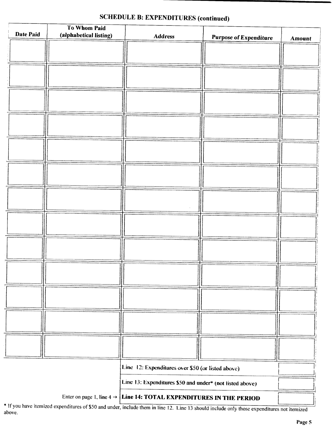| <b>Date Paid</b> | To Whom Paid<br>(alphabetical listing) |                                                          |                               |               |
|------------------|----------------------------------------|----------------------------------------------------------|-------------------------------|---------------|
|                  |                                        | <b>Address</b>                                           | <b>Purpose of Expenditure</b> | <b>Amount</b> |
|                  |                                        |                                                          |                               |               |
|                  |                                        |                                                          |                               |               |
|                  |                                        |                                                          |                               |               |
|                  |                                        |                                                          |                               |               |
|                  |                                        |                                                          |                               |               |
|                  |                                        |                                                          |                               |               |
|                  |                                        |                                                          |                               |               |
|                  |                                        |                                                          |                               |               |
|                  |                                        |                                                          |                               |               |
|                  |                                        |                                                          |                               |               |
|                  |                                        |                                                          |                               |               |
|                  |                                        |                                                          |                               |               |
|                  |                                        |                                                          |                               |               |
|                  |                                        |                                                          |                               |               |
|                  |                                        |                                                          |                               |               |
|                  |                                        |                                                          |                               |               |
|                  |                                        |                                                          |                               |               |
|                  |                                        |                                                          |                               |               |
|                  |                                        |                                                          |                               |               |
|                  |                                        |                                                          |                               |               |
|                  |                                        |                                                          |                               |               |
|                  |                                        |                                                          |                               |               |
|                  |                                        |                                                          |                               |               |
|                  |                                        |                                                          |                               |               |
|                  |                                        |                                                          |                               |               |
|                  |                                        |                                                          |                               |               |
|                  |                                        |                                                          |                               |               |
|                  |                                        |                                                          |                               |               |
|                  |                                        |                                                          |                               |               |
|                  |                                        |                                                          |                               |               |
|                  |                                        | Line 12: Expenditures over \$50 (or listed above)        |                               |               |
|                  |                                        |                                                          |                               |               |
|                  |                                        | Line 13: Expenditures \$50 and under* (not listed above) |                               |               |
|                  |                                        |                                                          |                               |               |

#### SCHEDULE B: EXPENDITURES (continued)

Enter on page 1, line  $4 \rightarrow$  Line 14: TOTAL EXPENDITURES IN THE PERIOD

\* If you have itemized expenditures of \$50 and under, include them in line 12. Line 13 should include only those expenditures not itemized above.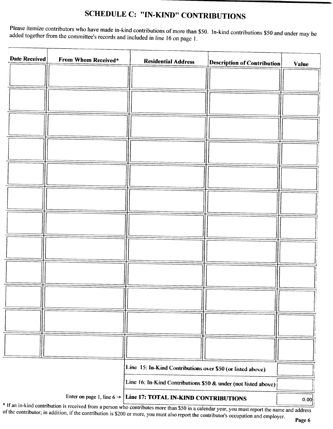## SCHEDULE C: "IN-KIND" CONTRIBUTIONS

Please itemize contributors who have made in-kind contributions of more than \$50. In-kind contributions \$50 and under may be added together from the committee's records and included in line 16 on page 1.

| Date Received                           | From Whom Received* | <b>Residential Address</b>                                                                                                   | <b>Description of Contribution</b> | <b>Value</b> |
|-----------------------------------------|---------------------|------------------------------------------------------------------------------------------------------------------------------|------------------------------------|--------------|
|                                         |                     |                                                                                                                              |                                    |              |
|                                         |                     |                                                                                                                              |                                    |              |
|                                         |                     |                                                                                                                              |                                    |              |
|                                         |                     |                                                                                                                              |                                    |              |
|                                         |                     |                                                                                                                              |                                    |              |
|                                         |                     |                                                                                                                              |                                    |              |
|                                         |                     |                                                                                                                              |                                    |              |
|                                         |                     |                                                                                                                              |                                    |              |
|                                         |                     |                                                                                                                              |                                    |              |
|                                         |                     |                                                                                                                              |                                    |              |
|                                         |                     |                                                                                                                              |                                    |              |
|                                         |                     |                                                                                                                              |                                    |              |
|                                         |                     |                                                                                                                              |                                    |              |
|                                         |                     | Line 15: In-Kind Contributions over \$50 (or listed above)<br>Line 16: In-Kind Contributions \$50 & under (not listed above) |                                    |              |
| <sup>*</sup> If an in kind contribution |                     | Enter on page 1, line $6 \rightarrow$ Line 17: TOTAL IN-KIND CONTRIBUTIONS                                                   |                                    | 0.00         |

If an in- kind contribution is received from a person who contributes more than \$50 in a calendar year, you must report the name and address it the contributor in addition if the contribution is \$2000. of the contributor; in addition, if the contribution is \$200 or more, you must also report the contributor's occupation and employer.